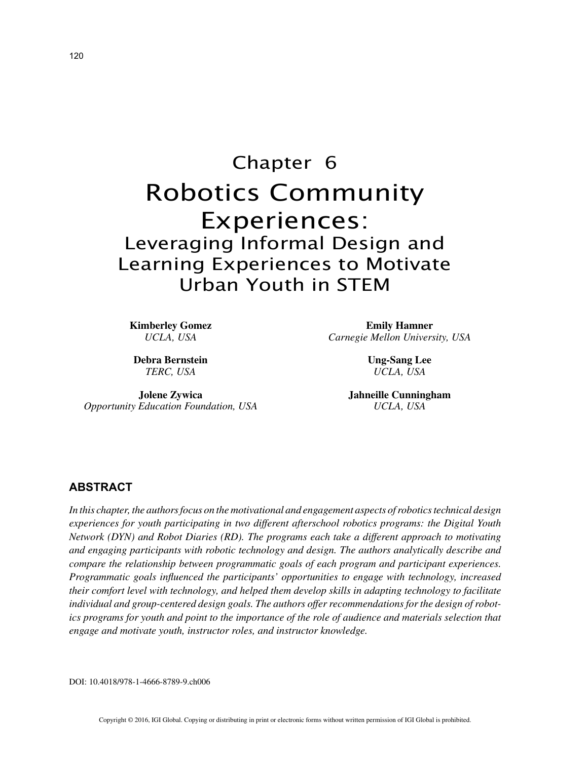# Chapter 6 Robotics Community Experiences: Leveraging Informal Design and Learning Experiences to Motivate Urban Youth in STEM

**Kimberley Gomez** *UCLA, USA*

**Debra Bernstein** *TERC, USA*

**Jolene Zywica** *Opportunity Education Foundation, USA*

**Emily Hamner** *Carnegie Mellon University, USA*

> **Ung-Sang Lee** *UCLA, USA*

**Jahneille Cunningham** *UCLA, USA*

## **ABSTRACT**

*In this chapter, the authors focus on the motivational and engagement aspects of robotics technical design experiences for youth participating in two different afterschool robotics programs: the Digital Youth Network (DYN) and Robot Diaries (RD). The programs each take a different approach to motivating and engaging participants with robotic technology and design. The authors analytically describe and compare the relationship between programmatic goals of each program and participant experiences. Programmatic goals influenced the participants' opportunities to engage with technology, increased their comfort level with technology, and helped them develop skills in adapting technology to facilitate individual and group-centered design goals. The authors offer recommendations for the design of robotics programs for youth and point to the importance of the role of audience and materials selection that engage and motivate youth, instructor roles, and instructor knowledge.*

DOI: 10.4018/978-1-4666-8789-9.ch006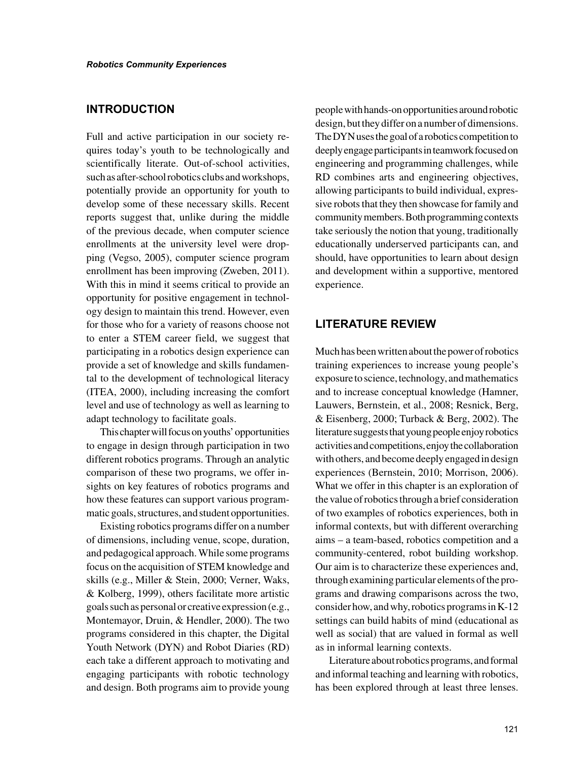#### **INTRODUCTION**

Full and active participation in our society requires today's youth to be technologically and scientifically literate. Out-of-school activities, such as after-school robotics clubs and workshops, potentially provide an opportunity for youth to develop some of these necessary skills. Recent reports suggest that, unlike during the middle of the previous decade, when computer science enrollments at the university level were dropping (Vegso, 2005), computer science program enrollment has been improving (Zweben, 2011). With this in mind it seems critical to provide an opportunity for positive engagement in technology design to maintain this trend. However, even for those who for a variety of reasons choose not to enter a STEM career field, we suggest that participating in a robotics design experience can provide a set of knowledge and skills fundamental to the development of technological literacy (ITEA, 2000), including increasing the comfort level and use of technology as well as learning to adapt technology to facilitate goals.

This chapter will focus on youths' opportunities to engage in design through participation in two different robotics programs. Through an analytic comparison of these two programs, we offer insights on key features of robotics programs and how these features can support various programmatic goals, structures, and student opportunities.

Existing robotics programs differ on a number of dimensions, including venue, scope, duration, and pedagogical approach. While some programs focus on the acquisition of STEM knowledge and skills (e.g., Miller & Stein, 2000; Verner, Waks, & Kolberg, 1999), others facilitate more artistic goals such as personal or creative expression (e.g., Montemayor, Druin, & Hendler, 2000). The two programs considered in this chapter, the Digital Youth Network (DYN) and Robot Diaries (RD) each take a different approach to motivating and engaging participants with robotic technology and design. Both programs aim to provide young people with hands-on opportunities around robotic design, but they differ on a number of dimensions. The DYN uses the goal of a robotics competition to deeply engage participants in teamwork focused on engineering and programming challenges, while RD combines arts and engineering objectives, allowing participants to build individual, expressive robots that they then showcase for family and community members. Both programming contexts take seriously the notion that young, traditionally educationally underserved participants can, and should, have opportunities to learn about design and development within a supportive, mentored experience.

# **LITERATURE REVIEW**

Much has been written about the power of robotics training experiences to increase young people's exposure to science, technology, and mathematics and to increase conceptual knowledge (Hamner, Lauwers, Bernstein, et al., 2008; Resnick, Berg, & Eisenberg, 2000; Turback & Berg, 2002). The literature suggests that young people enjoy robotics activities and competitions, enjoy the collaboration with others, and become deeply engaged in design experiences (Bernstein, 2010; Morrison, 2006). What we offer in this chapter is an exploration of the value of robotics through a brief consideration of two examples of robotics experiences, both in informal contexts, but with different overarching aims – a team-based, robotics competition and a community-centered, robot building workshop. Our aim is to characterize these experiences and, through examining particular elements of the programs and drawing comparisons across the two, consider how, and why, robotics programs in K-12 settings can build habits of mind (educational as well as social) that are valued in formal as well as in informal learning contexts.

Literature about robotics programs, and formal and informal teaching and learning with robotics, has been explored through at least three lenses.